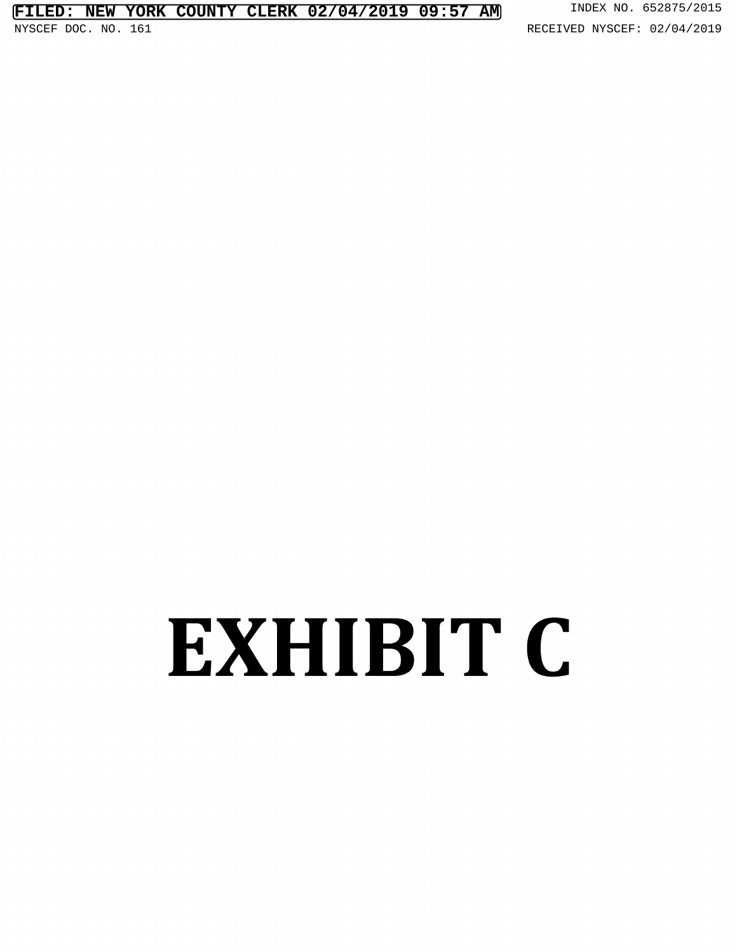## **FILED: NEW YORK COUNTY CLERK 02/04/2019 09:57 AM** INDEX NO. 652875/2015

## EXHIBIT C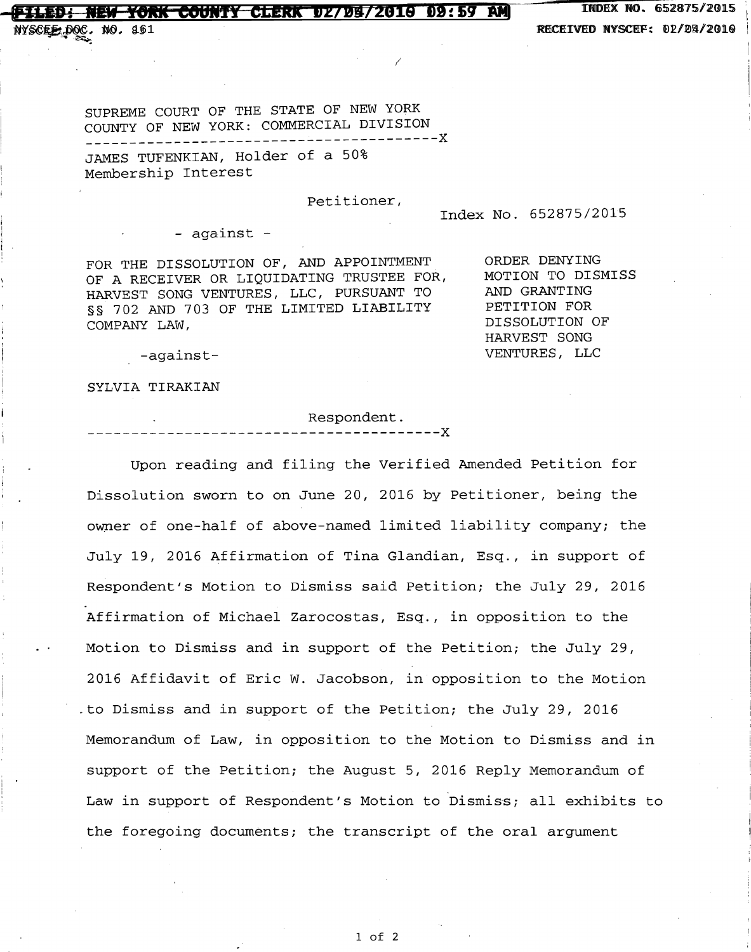## **FOUNTY CLERK 02/04/2010 09:59 AM** INDEX

52875/2015 NYSC . NO. 83 RECEIVED NYSCEF: 11/25/2016 NYSCEF DOC. NO. 161 RECEIVED NYSCEF: 02/04/2019

SUPREME COURT OF THE STATE OF NEW YORK COUNTY OF NEW YORK: COMMERCIAL DIVISION ----------------------------------------X JAMES TUFENKIAN, Holder of <sup>a</sup> 50% Membership Interest

Petitioner,

Index No. 652875/2015

- against -

FOR THE DISSOLUTION OF, AND APPOINTMENT ORDER DENYING<br>OF A PECEIVER OR LIQUIDATING TRUSTEE FOR. MOTION TO DISMISS OF A RECEIVER OR LIQUIDATING TRUSTEE FOR, MOTION TO DISMISSION OF A MOTION OF A MOTION OF A MILLER ONE THAT TH HARVEST SONG VENTURES, LLC, PURSUANT TO AND GRANTING<br>88 702 AND 703 OF THE LIMITED LIABILITY PETITION FOR §§ 702 AND 703 OF THE LIMITED LIABILITY PETITION FOR<br>COMPANY LAW PLASS PORT DISSOLUTION OF COMPANY LAW,

HARVEST SONG -against- VENTURES, LLC

SYLVIA TIRAKIAN

. Respondent. ----------------------------------------X

Upon reading and filing the Verified Amended Petition for Dissolution sworn to on June 20, 2016 by Petitioner, being the owner of one-half of above-named limited liability company; the July 19, <sup>2016</sup> Affirmation of Tina Glandian, Esq., in support of Respondent's Motion to Dismiss said Petition; the July 29, 2016 Affirmation of Michael Zarocostas, Esq., in opposition to the Motion to Dismiss and in support of the Petition; the July 29, 2016 Affidavit of Eric W. Jacobson, in opposition to the Motion .to Dismiss and in support of the Petition; the July 29, 2016 Memorandum of Law, in opposition to the Motion to Dismiss and in support of the Petition; the August 5, 2016 Reply Memorandum of Law in support of Respondent's Motion to Dismiss; all exhibits to the foregoing documents; the transcript of the oral argument